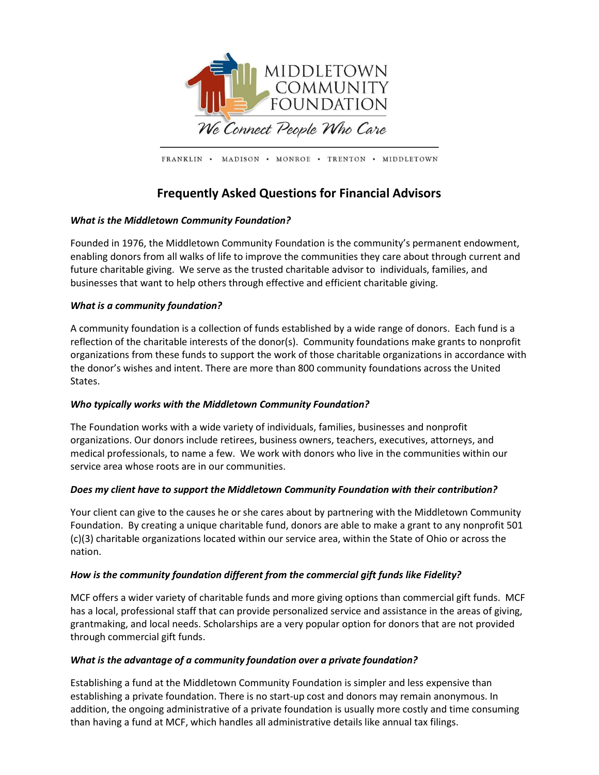

FRANKLIN · MADISON · MONROE · TRENTON · MIDDLETOWN

# Frequently Asked Questions for Financial Advisors

# What is the Middletown Community Foundation?

Founded in 1976, the Middletown Community Foundation is the community's permanent endowment, enabling donors from all walks of life to improve the communities they care about through current and future charitable giving. We serve as the trusted charitable advisor to individuals, families, and businesses that want to help others through effective and efficient charitable giving.

# What is a community foundation?

A community foundation is a collection of funds established by a wide range of donors. Each fund is a reflection of the charitable interests of the donor(s). Community foundations make grants to nonprofit organizations from these funds to support the work of those charitable organizations in accordance with the donor's wishes and intent. There are more than 800 community foundations across the United States.

# Who typically works with the Middletown Community Foundation?

The Foundation works with a wide variety of individuals, families, businesses and nonprofit organizations. Our donors include retirees, business owners, teachers, executives, attorneys, and medical professionals, to name a few. We work with donors who live in the communities within our service area whose roots are in our communities.

# Does my client have to support the Middletown Community Foundation with their contribution?

Your client can give to the causes he or she cares about by partnering with the Middletown Community Foundation. By creating a unique charitable fund, donors are able to make a grant to any nonprofit 501 (c)(3) charitable organizations located within our service area, within the State of Ohio or across the nation.

# How is the community foundation different from the commercial gift funds like Fidelity?

MCF offers a wider variety of charitable funds and more giving options than commercial gift funds. MCF has a local, professional staff that can provide personalized service and assistance in the areas of giving, grantmaking, and local needs. Scholarships are a very popular option for donors that are not provided through commercial gift funds.

# What is the advantage of a community foundation over a private foundation?

Establishing a fund at the Middletown Community Foundation is simpler and less expensive than establishing a private foundation. There is no start-up cost and donors may remain anonymous. In addition, the ongoing administrative of a private foundation is usually more costly and time consuming than having a fund at MCF, which handles all administrative details like annual tax filings.